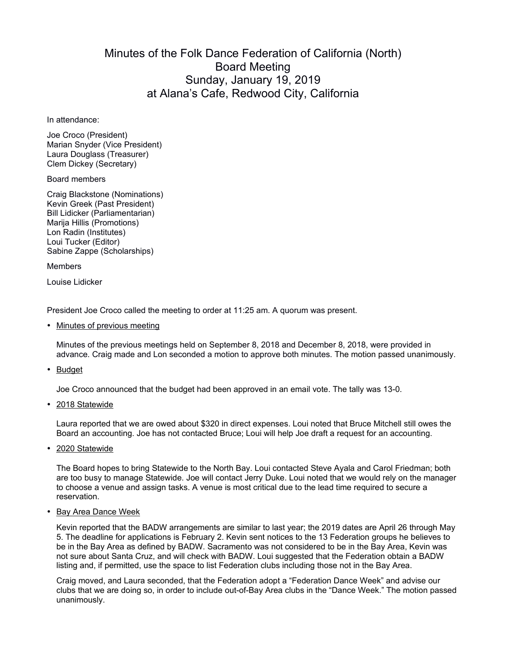## Minutes of the Folk Dance Federation of California (North) Board Meeting Sunday, January 19, 2019 at Alana's Cafe, Redwood City, California

In attendance:

Joe Croco (President) Marian Snyder (Vice President) Laura Douglass (Treasurer) Clem Dickey (Secretary)

Board members

Craig Blackstone (Nominations) Kevin Greek (Past President) Bill Lidicker (Parliamentarian) Marija Hillis (Promotions) Lon Radin (Institutes) Loui Tucker (Editor) Sabine Zappe (Scholarships)

Members

Louise Lidicker

President Joe Croco called the meeting to order at 11:25 am. A quorum was present.

• Minutes of previous meeting

Minutes of the previous meetings held on September 8, 2018 and December 8, 2018, were provided in advance. Craig made and Lon seconded a motion to approve both minutes. The motion passed unanimously.

• Budget

Joe Croco announced that the budget had been approved in an email vote. The tally was 13-0.

• 2018 Statewide

Laura reported that we are owed about \$320 in direct expenses. Loui noted that Bruce Mitchell still owes the Board an accounting. Joe has not contacted Bruce; Loui will help Joe draft a request for an accounting.

• 2020 Statewide

The Board hopes to bring Statewide to the North Bay. Loui contacted Steve Ayala and Carol Friedman; both are too busy to manage Statewide. Joe will contact Jerry Duke. Loui noted that we would rely on the manager to choose a venue and assign tasks. A venue is most critical due to the lead time required to secure a reservation.

• Bay Area Dance Week

Kevin reported that the BADW arrangements are similar to last year; the 2019 dates are April 26 through May 5. The deadline for applications is February 2. Kevin sent notices to the 13 Federation groups he believes to be in the Bay Area as defined by BADW. Sacramento was not considered to be in the Bay Area, Kevin was not sure about Santa Cruz, and will check with BADW. Loui suggested that the Federation obtain a BADW listing and, if permitted, use the space to list Federation clubs including those not in the Bay Area.

Craig moved, and Laura seconded, that the Federation adopt a "Federation Dance Week" and advise our clubs that we are doing so, in order to include out-of-Bay Area clubs in the "Dance Week." The motion passed unanimously.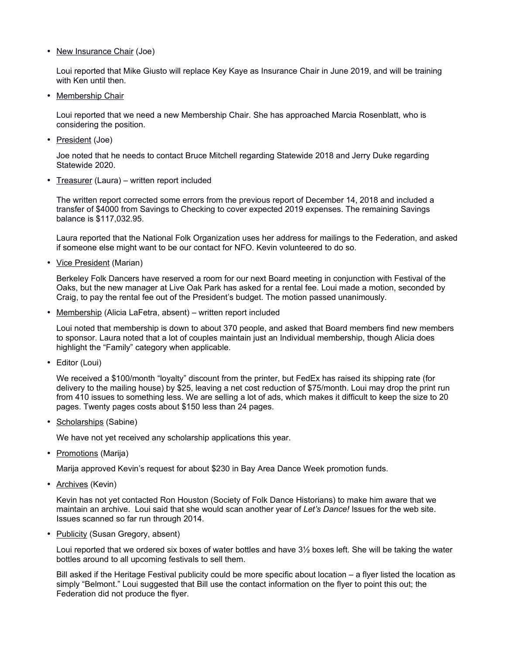• New Insurance Chair (Joe)

Loui reported that Mike Giusto will replace Key Kaye as Insurance Chair in June 2019, and will be training with Ken until then.

• Membership Chair

Loui reported that we need a new Membership Chair. She has approached Marcia Rosenblatt, who is considering the position.

• President (Joe)

Joe noted that he needs to contact Bruce Mitchell regarding Statewide 2018 and Jerry Duke regarding Statewide 2020.

• Treasurer (Laura) – written report included

The written report corrected some errors from the previous report of December 14, 2018 and included a transfer of \$4000 from Savings to Checking to cover expected 2019 expenses. The remaining Savings balance is \$117,032.95.

Laura reported that the National Folk Organization uses her address for mailings to the Federation, and asked if someone else might want to be our contact for NFO. Kevin volunteered to do so.

• Vice President (Marian)

Berkeley Folk Dancers have reserved a room for our next Board meeting in conjunction with Festival of the Oaks, but the new manager at Live Oak Park has asked for a rental fee. Loui made a motion, seconded by Craig, to pay the rental fee out of the President's budget. The motion passed unanimously.

• Membership (Alicia LaFetra, absent) – written report included

Loui noted that membership is down to about 370 people, and asked that Board members find new members to sponsor. Laura noted that a lot of couples maintain just an Individual membership, though Alicia does highlight the "Family" category when applicable.

• Editor (Loui)

We received a \$100/month "loyalty" discount from the printer, but FedEx has raised its shipping rate (for delivery to the mailing house) by \$25, leaving a net cost reduction of \$75/month. Loui may drop the print run from 410 issues to something less. We are selling a lot of ads, which makes it difficult to keep the size to 20 pages. Twenty pages costs about \$150 less than 24 pages.

• Scholarships (Sabine)

We have not yet received any scholarship applications this year.

• Promotions (Marija)

Marija approved Kevin's request for about \$230 in Bay Area Dance Week promotion funds.

• Archives (Kevin)

Kevin has not yet contacted Ron Houston (Society of Folk Dance Historians) to make him aware that we maintain an archive. Loui said that she would scan another year of *Let's Dance!* Issues for the web site. Issues scanned so far run through 2014.

• Publicity (Susan Gregory, absent)

Loui reported that we ordered six boxes of water bottles and have 3½ boxes left. She will be taking the water bottles around to all upcoming festivals to sell them.

Bill asked if the Heritage Festival publicity could be more specific about location – a flyer listed the location as simply "Belmont." Loui suggested that Bill use the contact information on the flyer to point this out; the Federation did not produce the flyer.